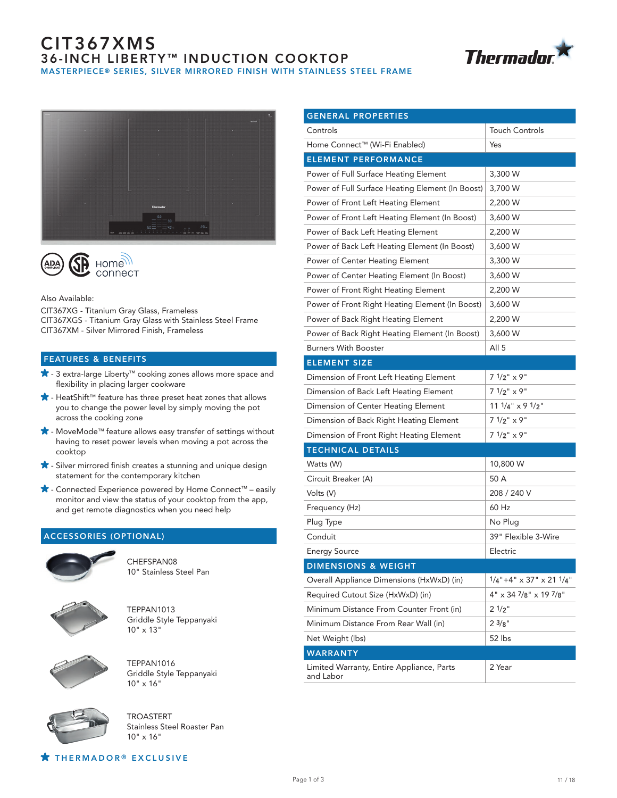# CIT367XMS 36-INCH LIBERTY™ INDUCTION COOKTOP MASTERPIECE® SERIES, SILVER MIRRORED FINISH WITH STAINLESS STEEL FRAME







Also Available:

CIT367XG - Titanium Gray Glass, Frameless CIT367XGS - Titanium Gray Glass with Stainless Steel Frame CIT367XM - Silver Mirrored Finish, Frameless

## FEATURES & BENEFITS

- 3 extra-large Liberty™ cooking zones allows more space and flexibility in placing larger cookware
- HeatShift™ feature has three preset heat zones that allows you to change the power level by simply moving the pot across the cooking zone
- MoveMode™ feature allows easy transfer of settings without having to reset power levels when moving a pot across the cooktop
- $\bigstar$  Silver mirrored finish creates a stunning and unique design statement for the contemporary kitchen
- Connected Experience powered by Home Connect™ easily monitor and view the status of your cooktop from the app, and get remote diagnostics when you need help

## ACCESSORIES (OPTIONAL)



CHEFSPAN08 10" Stainless Steel Pan



TEPPAN1013 Griddle Style Teppanyaki 10" x 13"



TEPPAN1016 Griddle Style Teppanyaki 10" x 16"



TROASTERT Stainless Steel Roaster Pan 10" x 16"

| <b>GENERAL PROPERTIES</b>                              |                                       |
|--------------------------------------------------------|---------------------------------------|
| Controls                                               | <b>Touch Controls</b>                 |
| Home Connect™ (Wi-Fi Enabled)                          | Yes                                   |
| <b>ELEMENT PERFORMANCE</b>                             |                                       |
| Power of Full Surface Heating Element                  | 3,300 W                               |
| Power of Full Surface Heating Element (In Boost)       | 3,700 W                               |
| Power of Front Left Heating Element                    | 2,200 W                               |
| Power of Front Left Heating Element (In Boost)         | 3,600 W                               |
| Power of Back Left Heating Element                     | 2,200 W                               |
| Power of Back Left Heating Element (In Boost)          | 3,600 W                               |
| Power of Center Heating Element                        | 3,300 W                               |
| Power of Center Heating Element (In Boost)             | 3,600 W                               |
| Power of Front Right Heating Element                   | 2,200 W                               |
| Power of Front Right Heating Element (In Boost)        | 3,600 W                               |
| Power of Back Right Heating Element                    | 2,200 W                               |
| Power of Back Right Heating Element (In Boost)         | 3,600 W                               |
| <b>Burners With Booster</b>                            | All <sub>5</sub>                      |
| <b>ELEMENT SIZE</b>                                    |                                       |
| Dimension of Front Left Heating Element                | $71/2$ " $\times$ 9"                  |
| Dimension of Back Left Heating Element                 | $71/2" \times 9"$                     |
| Dimension of Center Heating Element                    | $111/4$ " x 9 $1/2$ "                 |
| Dimension of Back Right Heating Element                | $71/2$ " $\times$ 9"                  |
| Dimension of Front Right Heating Element               | $71/2" \times 9"$                     |
| <b>TECHNICAL DETAILS</b>                               |                                       |
| Watts (W)                                              | 10,800 W                              |
| Circuit Breaker (A)                                    | 50 A                                  |
| Volts (V)                                              | 208 / 240 V                           |
| Frequency (Hz)                                         | 60 Hz                                 |
| Plug Type                                              | No Plug                               |
| Conduit                                                | 39" Flexible 3-Wire                   |
| <b>Energy Source</b>                                   | Electric                              |
| DIMENSIONS & WEIGHT                                    |                                       |
| Overall Appliance Dimensions (HxWxD) (in)              | $1/4$ "+4" x 37" x 21 $1/4$ "         |
| Required Cutout Size (HxWxD) (in)                      | $4'' \times 347//8'' \times 197//8''$ |
| Minimum Distance From Counter Front (in)               | 21/2"                                 |
| Minimum Distance From Rear Wall (in)                   | 23/8"                                 |
| Net Weight (lbs)                                       | 52 lbs                                |
| <b>WARRANTY</b>                                        |                                       |
| Limited Warranty, Entire Appliance, Parts<br>and Labor | 2 Year                                |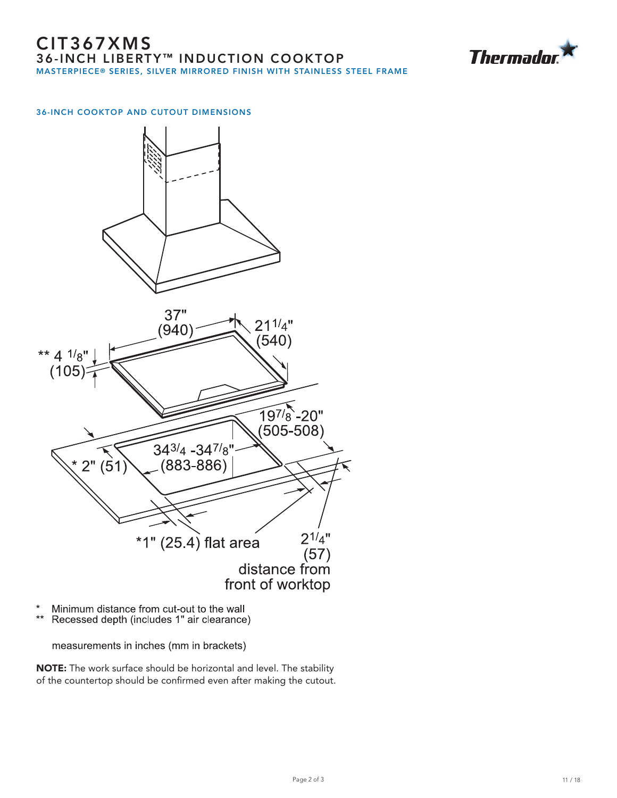

#### 36-INCH COOKTOP AND CUTOUT DIMENSIONS



- Minimum distance from cut-out to the wall  $\star\star$
- Recessed depth (includes 1" air clearance)

measurements in inches (mm in brackets)

NOTE: The work surface should be horizontal and level. The stability of the countertop should be confirmed even after making the cutout.